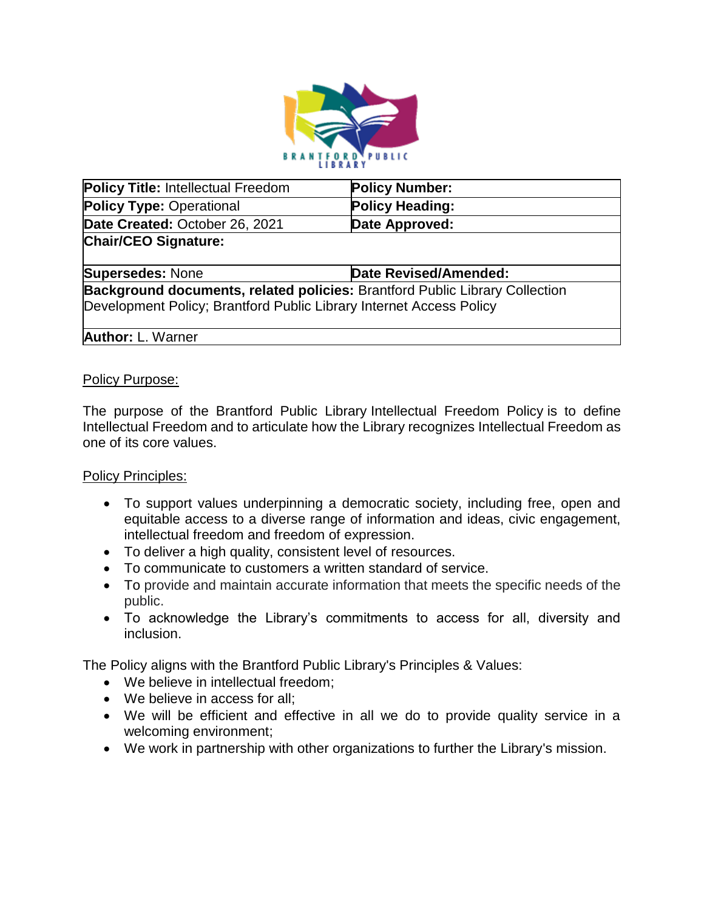

| <b>Policy Title: Intellectual Freedom</b>                                   | <b>Policy Number:</b>  |
|-----------------------------------------------------------------------------|------------------------|
| <b>Policy Type: Operational</b>                                             | <b>Policy Heading:</b> |
| Date Created: October 26, 2021                                              | Date Approved:         |
| <b>Chair/CEO Signature:</b>                                                 |                        |
|                                                                             |                        |
| <b>Supersedes: None</b>                                                     | Date Revised/Amended:  |
| Background documents, related policies: Brantford Public Library Collection |                        |
| Development Policy; Brantford Public Library Internet Access Policy         |                        |
|                                                                             |                        |
| <b>Author: L. Warner</b>                                                    |                        |

#### Policy Purpose:

The purpose of the Brantford Public Library Intellectual Freedom Policy is to define Intellectual Freedom and to articulate how the Library recognizes Intellectual Freedom as one of its core values.

#### Policy Principles:

- To support values underpinning a democratic society, including free, open and equitable access to a diverse range of information and ideas, civic engagement, intellectual freedom and freedom of expression.
- To deliver a high quality, consistent level of resources.
- To communicate to customers a written standard of service.
- To provide and maintain accurate information that meets the specific needs of the public.
- To acknowledge the Library's commitments to access for all, diversity and inclusion.

The Policy aligns with the Brantford Public Library's Principles & Values:

- We believe in intellectual freedom;
- We believe in access for all;
- We will be efficient and effective in all we do to provide quality service in a welcoming environment;
- We work in partnership with other organizations to further the Library's mission.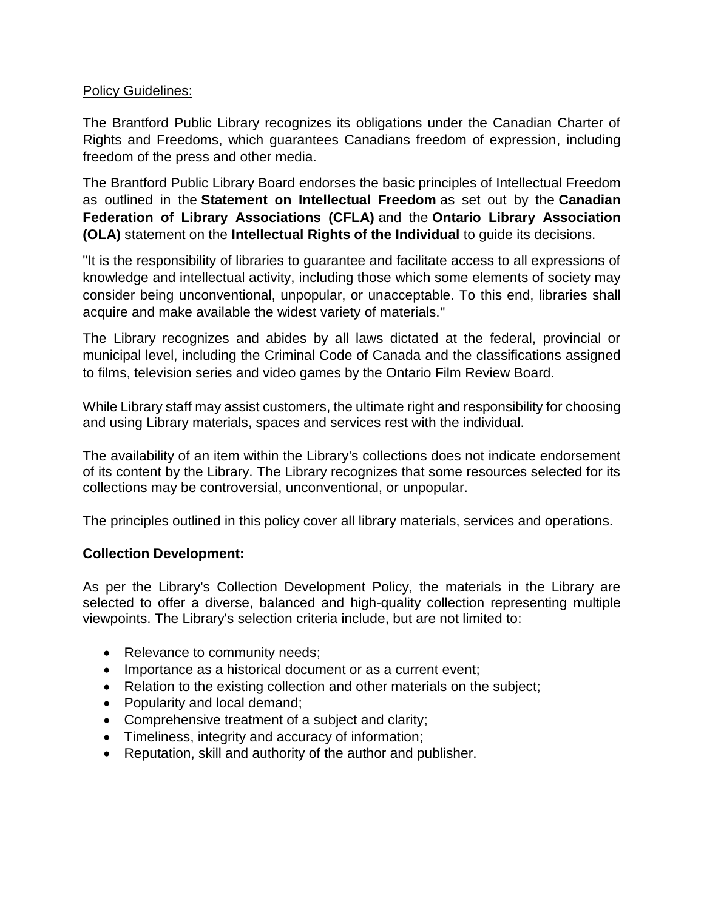## Policy Guidelines:

The Brantford Public Library recognizes its obligations under the Canadian Charter of Rights and Freedoms, which guarantees Canadians freedom of expression, including freedom of the press and other media.

The Brantford Public Library Board endorses the basic principles of Intellectual Freedom as outlined in the **Statement on Intellectual Freedom** as set out by the **Canadian Federation of Library Associations (CFLA)** and the **Ontario Library Association (OLA)** statement on the **Intellectual Rights of the Individual** to guide its decisions.

"It is the responsibility of libraries to guarantee and facilitate access to all expressions of knowledge and intellectual activity, including those which some elements of society may consider being unconventional, unpopular, or unacceptable. To this end, libraries shall acquire and make available the widest variety of materials."

The Library recognizes and abides by all laws dictated at the federal, provincial or municipal level, including the Criminal Code of Canada and the classifications assigned to films, television series and video games by the Ontario Film Review Board.

While Library staff may assist customers, the ultimate right and responsibility for choosing and using Library materials, spaces and services rest with the individual.

The availability of an item within the Library's collections does not indicate endorsement of its content by the Library. The Library recognizes that some resources selected for its collections may be controversial, unconventional, or unpopular.

The principles outlined in this policy cover all library materials, services and operations.

# **Collection Development:**

As per the Library's Collection Development Policy, the materials in the Library are selected to offer a diverse, balanced and high-quality collection representing multiple viewpoints. The Library's selection criteria include, but are not limited to:

- Relevance to community needs;
- Importance as a historical document or as a current event;
- Relation to the existing collection and other materials on the subject;
- Popularity and local demand;
- Comprehensive treatment of a subject and clarity;
- Timeliness, integrity and accuracy of information;
- Reputation, skill and authority of the author and publisher.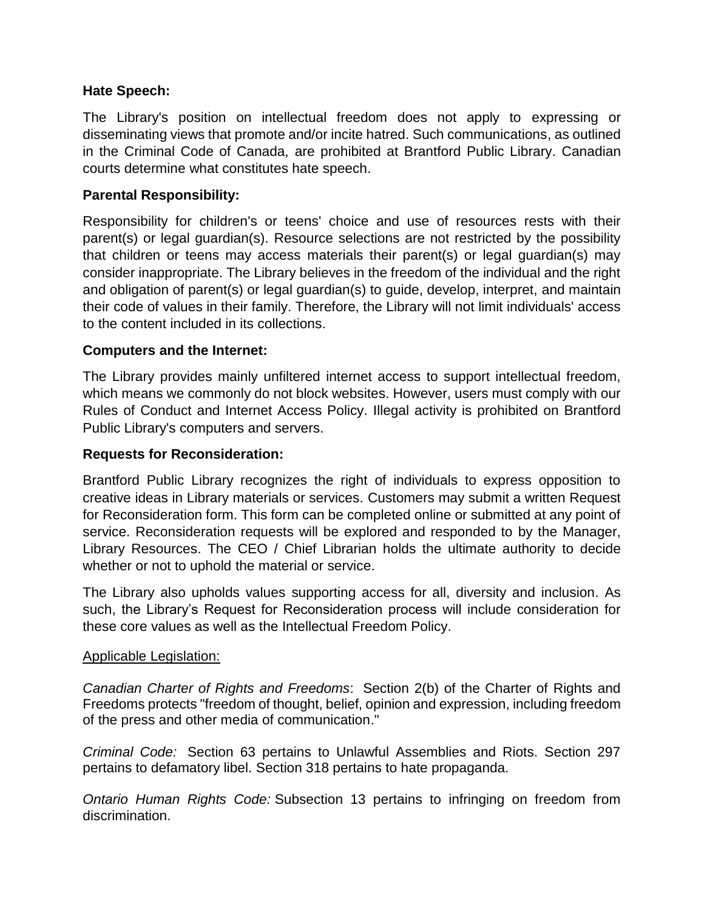## **Hate Speech:**

The Library's position on intellectual freedom does not apply to expressing or disseminating views that promote and/or incite hatred. Such communications, as outlined in the Criminal Code of Canada, are prohibited at Brantford Public Library. Canadian courts determine what constitutes hate speech.

## **Parental Responsibility:**

Responsibility for children's or teens' choice and use of resources rests with their parent(s) or legal guardian(s). Resource selections are not restricted by the possibility that children or teens may access materials their parent(s) or legal guardian(s) may consider inappropriate. The Library believes in the freedom of the individual and the right and obligation of parent(s) or legal guardian(s) to guide, develop, interpret, and maintain their code of values in their family. Therefore, the Library will not limit individuals' access to the content included in its collections.

## **Computers and the Internet:**

The Library provides mainly unfiltered internet access to support intellectual freedom, which means we commonly do not block websites. However, users must comply with our Rules of Conduct and Internet Access Policy. Illegal activity is prohibited on Brantford Public Library's computers and servers.

## **Requests for Reconsideration:**

Brantford Public Library recognizes the right of individuals to express opposition to creative ideas in Library materials or services. Customers may submit a written Request for Reconsideration form. This form can be completed online or submitted at any point of service. Reconsideration requests will be explored and responded to by the Manager, Library Resources. The CEO / Chief Librarian holds the ultimate authority to decide whether or not to uphold the material or service.

The Library also upholds values supporting access for all, diversity and inclusion. As such, the Library's Request for Reconsideration process will include consideration for these core values as well as the Intellectual Freedom Policy.

### Applicable Legislation:

*[Canadian Charter of Rights and Freedoms](https://laws-lois.justice.gc.ca/eng/const/page-15.html)*: Section 2(b) of the Charter of Rights and Freedoms protects "freedom of thought, belief, opinion and expression, including freedom of the press and other media of communication."

*[Criminal Code:](https://laws-lois.justice.gc.ca/eng/acts/c-46/)* Section 63 pertains to Unlawful Assemblies and Riots. Section 297 pertains to defamatory libel. Section 318 pertains to hate propaganda.

*[Ontario Human Rights Code:](https://www.ontario.ca/laws/statute/90h19#BK2)* Subsection 13 pertains to infringing on freedom from discrimination.